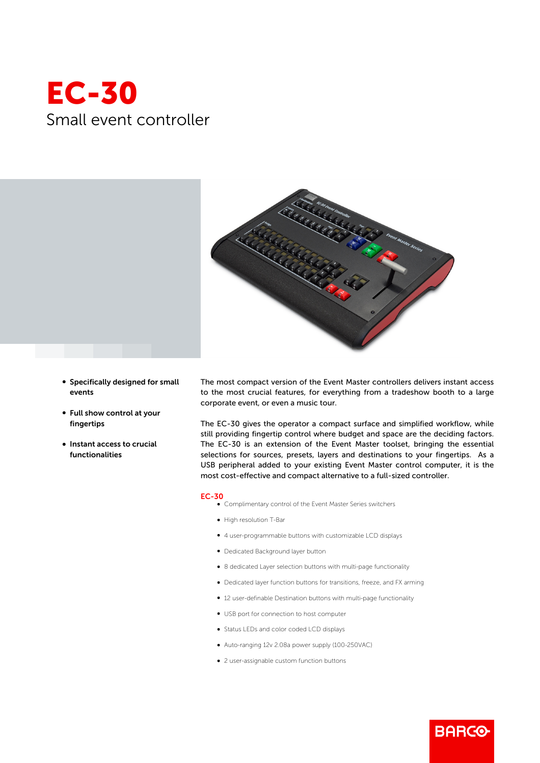## EC-30 Small event controller



- Specifically designed for small events
- Full show control at your fingertips
- Instant access to crucial functionalities

The most compact version of the Event Master controllers delivers instant access to the most crucial features, for everything from a tradeshow booth to a large corporate event, or even a music tour.

The EC-30 gives the operator a compact surface and simplified workflow, while still providing fingertip control where budget and space are the deciding factors. The EC-30 is an extension of the Event Master toolset, bringing the essential selections for sources, presets, layers and destinations to your fingertips. As a USB peripheral added to your existing Event Master control computer, it is the most cost-effective and compact alternative to a full-sized controller.

## EC-30

- b Complimentary control of the Event Master Series switchers
	- b High resolution T-Bar
	- b 4 user-programmable buttons with customizable LCD displays
	- Dedicated Background layer button
	- 8 dedicated Layer selection buttons with multi-page functionality
	- Dedicated layer function buttons for transitions, freeze, and FX arming

**BARCO** 

- 12 user-definable Destination buttons with multi-page functionality
- USB port for connection to host computer
- b Status LEDs and color coded LCD displays
- b Auto-ranging 12v 2.08a power supply (100-250VAC)
- 2 user-assignable custom function buttons